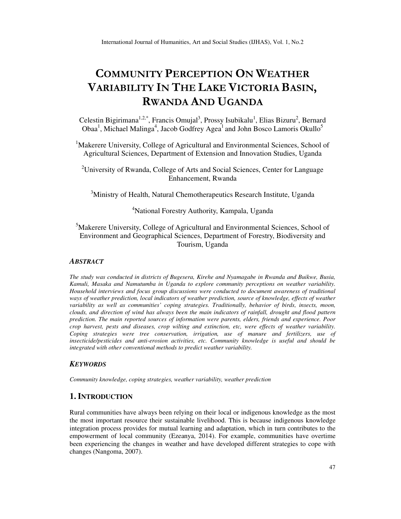# **COMMUNITY PERCEPTION ON WEATHER VARIABILITY IN THE LAKE VICTORIA BASIN, RWANDA AND UGANDA**

Celestin Bigirimana<sup>1,2,\*</sup>, Francis Omujal<sup>3</sup>, Prossy Isubikalu<sup>1</sup>, Elias Bizuru<sup>2</sup>, Bernard Obaa<sup>1</sup>, Michael Malinga<sup>4</sup>, Jacob Godfrey Agea<sup>1</sup> and John Bosco Lamoris Okullo<sup>5</sup>

<sup>1</sup>Makerere University, College of Agricultural and Environmental Sciences, School of Agricultural Sciences, Department of Extension and Innovation Studies, Uganda

<sup>2</sup>University of Rwanda, College of Arts and Social Sciences, Center for Language Enhancement, Rwanda

<sup>3</sup>Ministry of Health, Natural Chemotherapeutics Research Institute, Uganda

# <sup>4</sup>National Forestry Authority, Kampala, Uganda

<sup>5</sup>Makerere University, College of Agricultural and Environmental Sciences, School of Environment and Geographical Sciences, Department of Forestry, Biodiversity and Tourism, Uganda

# *ABSTRACT*

*The study was conducted in districts of Bugesera, Kirehe and Nyamagabe in Rwanda and Buikwe, Busia, Kamuli, Masaka and Namutumba in Uganda to explore community perceptions on weather variability. Household interviews and focus group discussions were conducted to document awareness of traditional ways of weather prediction, local indicators of weather prediction, source of knowledge, effects of weather variability as well as communities' coping strategies. Traditionally, behavior of birds, insects, moon, clouds, and direction of wind has always been the main indicators of rainfall, drought and flood pattern prediction. The main reported sources of information were parents, elders, friends and experience. Poor crop harvest, pests and diseases, crop wilting and extinction, etc, were effects of weather variability. Coping strategies were tree conservation, irrigation, use of manure and fertilizers, use of insecticide/pesticides and anti-erosion activities, etc. Community knowledge is useful and should be integrated with other conventional methods to predict weather variability.*

#### *KEYWORDS*

*Community knowledge, coping strategies, weather variability, weather prediction* 

# **1. INTRODUCTION**

Rural communities have always been relying on their local or indigenous knowledge as the most the most important resource their sustainable livelihood. This is because indigenous knowledge integration process provides for mutual learning and adaptation, which in turn contributes to the empowerment of local community (Ezeanya, 2014). For example, communities have overtime been experiencing the changes in weather and have developed different strategies to cope with changes (Nangoma, 2007).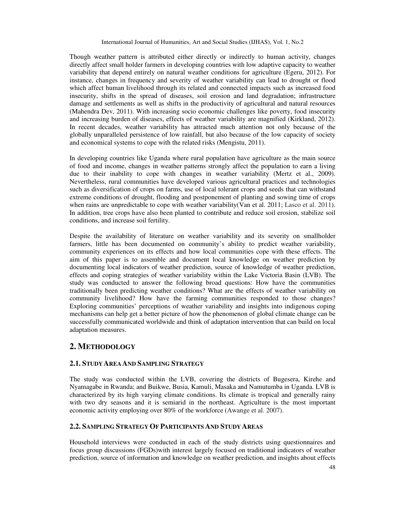Though weather pattern is attributed either directly or indirectly to human activity, changes directly affect small holder farmers in developing countries with low adaptive capacity to weather variability that depend entirely on natural weather conditions for agriculture (Egeru, 2012). For instance, changes in frequency and severity of weather variability can lead to drought or flood which affect human livelihood through its related and connected impacts such as increased food insecurity, shifts in the spread of diseases, soil erosion and land degradation; infrastructure damage and settlements as well as shifts in the productivity of agricultural and natural resources (Mahendra Dev, 2011). With increasing socio economic challenges like poverty, food insecurity and increasing burden of diseases, effects of weather variability are magnified (Kirkland, 2012). In recent decades, weather variability has attracted much attention not only because of the globally unparalleled persistence of low rainfall, but also because of the low capacity of society and economical systems to cope with the related risks (Mengistu, 2011).

In developing countries like Uganda where rural population have agriculture as the main source of food and income, changes in weather patterns strongly affect the population to earn a living due to their inability to cope with changes in weather variability (Mertz et al., 2009). Nevertheless, rural communities have developed various agricultural practices and technologies such as diversification of crops on farms, use of local tolerant crops and seeds that can withstand extreme conditions of drought, flooding and postponement of planting and sowing time of crops when rains are unpredictable to cope with weather variability(Van et al. 2011; Lasco et al. 2011). In addition, tree crops have also been planted to contribute and reduce soil erosion, stabilize soil conditions, and increase soil fertility.

Despite the availability of literature on weather variability and its severity on smallholder farmers, little has been documented on community's ability to predict weather variability, community experiences on its effects and how local communities cope with these effects. The aim of this paper is to assemble and document local knowledge on weather prediction by documenting local indicators of weather prediction, source of knowledge of weather prediction, effects and coping strategies of weather variability within the Lake Victoria Basin (LVB). The study was conducted to answer the following broad questions: How have the communities traditionally been predicting weather conditions? What are the effects of weather variability on community livelihood? How have the farming communities responded to those changes? Exploring communities' perceptions of weather variability and insights into indigenous coping mechanisms can help get a better picture of how the phenomenon of global climate change can be successfully communicated worldwide and think of adaptation intervention that can build on local adaptation measures.

# **2. METHODOLOGY**

# **2.1. STUDY AREA AND SAMPLING STRATEGY**

The study was conducted within the LVB, covering the districts of Bugesera, Kirehe and Nyamagabe in Rwanda; and Buikwe, Busia, Kamuli, Masaka and Namutumba in Uganda. LVB is characterized by its high varying climate conditions. Its climate is tropical and generally rainy with two dry seasons and it is semiarid in the northeast. Agriculture is the most important economic activity employing over 80% of the workforce (Awange et al. 2007).

# **2.2. SAMPLING STRATEGY OF PARTICIPANTS AND STUDY AREAS**

Household interviews were conducted in each of the study districts using questionnaires and focus group discussions (FGDs)with interest largely focused on traditional indicators of weather prediction, source of information and knowledge on weather prediction, and insights about effects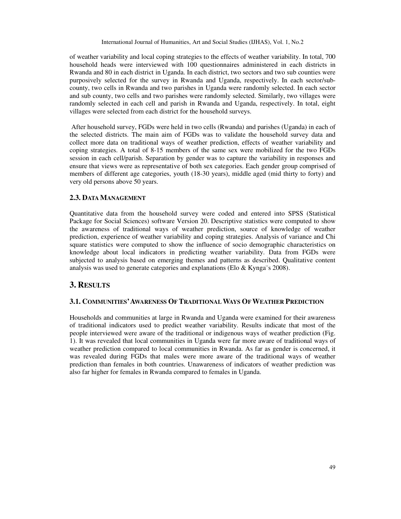of weather variability and local coping strategies to the effects of weather variability. In total, 700 household heads were interviewed with 100 questionnaires administered in each districts in Rwanda and 80 in each district in Uganda. In each district, two sectors and two sub counties were purposively selected for the survey in Rwanda and Uganda, respectively. In each sector/subcounty, two cells in Rwanda and two parishes in Uganda were randomly selected. In each sector and sub county, two cells and two parishes were randomly selected. Similarly, two villages were randomly selected in each cell and parish in Rwanda and Uganda, respectively. In total, eight villages were selected from each district for the household surveys.

 After household survey, FGDs were held in two cells (Rwanda) and parishes (Uganda) in each of the selected districts. The main aim of FGDs was to validate the household survey data and collect more data on traditional ways of weather prediction, effects of weather variability and coping strategies. A total of 8-15 members of the same sex were mobilized for the two FGDs session in each cell/parish. Separation by gender was to capture the variability in responses and ensure that views were as representative of both sex categories. Each gender group comprised of members of different age categories, youth (18-30 years), middle aged (mid thirty to forty) and very old persons above 50 years.

### **2.3. DATA MANAGEMENT**

Quantitative data from the household survey were coded and entered into SPSS (Statistical Package for Social Sciences) software Version 20. Descriptive statistics were computed to show the awareness of traditional ways of weather prediction, source of knowledge of weather prediction, experience of weather variability and coping strategies. Analysis of variance and Chi square statistics were computed to show the influence of socio demographic characteristics on knowledge about local indicators in predicting weather variability. Data from FGDs were subjected to analysis based on emerging themes and patterns as described. Qualitative content analysis was used to generate categories and explanations (Elo & Kynga¨s 2008).

# **3. RESULTS**

#### **3.1. COMMUNITIES'AWARENESS OF TRADITIONAL WAYS OF WEATHER PREDICTION**

Households and communities at large in Rwanda and Uganda were examined for their awareness of traditional indicators used to predict weather variability. Results indicate that most of the people interviewed were aware of the traditional or indigenous ways of weather prediction (Fig. 1). It was revealed that local communities in Uganda were far more aware of traditional ways of weather prediction compared to local communities in Rwanda. As far as gender is concerned, it was revealed during FGDs that males were more aware of the traditional ways of weather prediction than females in both countries. Unawareness of indicators of weather prediction was also far higher for females in Rwanda compared to females in Uganda.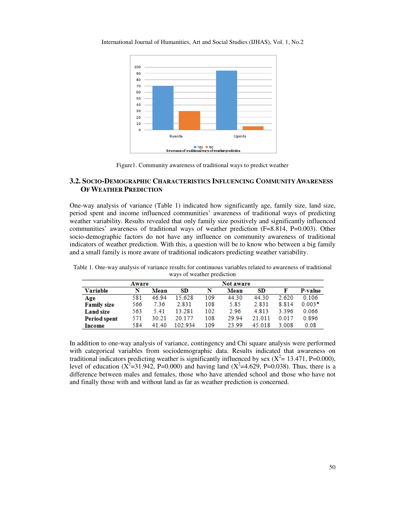100 90 80  $70$ 60 50 40 30 20 10  $\mathbf 0$ Rwanda Uganda  $\blacksquare$  Yes  $\blacksquare$  No<br>Awareness of traditional ways of weather prediction

International Journal of Humanities, Art and Social Studies (IJHAS), Vol. 1, No.2

# **3.2. SOCIO-DEMOGRAPHIC CHARACTERISTICS INFLUENCING COMMUNITY AWARENESS OF WEATHER PREDICTION**

One-way analysis of variance (Table 1) indicated how significantly age, family size, land size, period spent and income influenced communities' awareness of traditional ways of predicting weather variability. Results revealed that only family size positively and significantly influenced communities' awareness of traditional ways of weather prediction (F=8.814, P=0.003). Other socio-demographic factors do not have any influence on community awareness of traditional indicators of weather prediction. With this, a question will be to know who between a big family and a small family is more aware of traditional indicators predicting weather variability.

| Aware               |     |       | Not aware |     |       |         |         |                |
|---------------------|-----|-------|-----------|-----|-------|---------|---------|----------------|
| Variable            | N   | Mean  | SD        | N   | Mean  | SD      |         | <b>P-value</b> |
| Age                 | 581 | 46.94 | 15.628    | 109 | 44.30 | 44.30   | 2.620   | 0.106          |
| <b>Family size</b>  | 566 | 7.36  | 2.831     | 108 | 5.85  | 2.831   | 8.814   | $0.003*$       |
| <b>Land size</b>    | 563 | 5.41  | 13 281    | 102 | 2.96  | 4 8 1 3 | 3.396   | 0.066          |
| <b>Period spent</b> | 571 | 30 21 | 20 177    | 108 | 29.94 | 21 011  | 0 0 1 7 | 0.896          |
| Income              | 584 | 41.40 | 102.934   | 109 | 23.99 | 45 018  | 3.008   | 0.08           |

Table 1. One-way analysis of variance results for continuous variables related to awareness of traditional ways of weather prediction

In addition to one-way analysis of variance, contingency and Chi square analysis were performed with categorical variables from sociodemographic data. Results indicated that awareness on traditional indicators predicting weather is significantly influenced by sex ( $X^2$  = 13.471, P=0.000), level of education ( $X^2$ =31.942, P=0.000) and having land ( $X^2$ =4.629, P=0.038). Thus, there is a difference between males and females, those who have attended school and those who have not and finally those with and without land as far as weather prediction is concerned.

Figure1. Community awareness of traditional ways to predict weather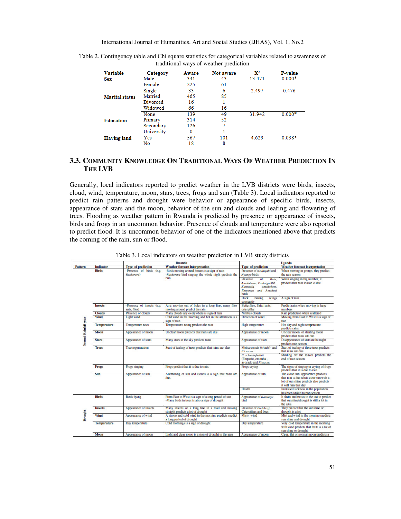| <b>Variable</b>       | Category   | Aware | Not aware | $\mathbf{X}^2$ | <b>P-value</b> |
|-----------------------|------------|-------|-----------|----------------|----------------|
| <b>Sex</b>            | Male       | 341   | 43        | 13.471         | $0.000*$       |
| <b>Marital status</b> | Female     | 225   | 61        |                |                |
|                       | Single     | 33    |           | 2.497          | 0.476          |
|                       | Married    | 465   | 85        |                |                |
|                       | Divorced   | 16    |           |                |                |
|                       | Widowed    | 66    | 16        |                |                |
|                       | None       | 139   | 49        | 31.942         | $0.000*$       |
| <b>Education</b>      | Primary    | 314   | 52        |                |                |
|                       | Secondary  | 126   |           |                |                |
|                       | University | 0     |           |                |                |
| <b>Having land</b>    | Yes        | 567   | 101       | 4.629          | $0.038*$       |
|                       | No         | 18    | 8         |                |                |

Table 2. Contingency table and Chi square statistics for categorical variables related to awareness of traditional ways of weather prediction

# **3.3. COMMUNITY KNOWLEDGE ON TRADITIONAL WAYS OF WEATHER PREDICTION IN THE LVB**

Generally, local indicators reported to predict weather in the LVB districts were birds, insects, cloud, wind, temperature, moon, stars, trees, frogs and sun (Table 3). Local indicators reported to predict rain patterns and drought were behavior or appearance of specific birds, insects, appearance of stars and the moon, behavior of the sun and clouds and leafing and flowering of trees. Flooding as weather pattern in Rwanda is predicted by presence or appearance of insects, birds and frogs in an uncommon behavior. Presence of clouds and temperature were also reported to predict flood. It is uncommon behavior of one of the indicators mentioned above that predicts the coming of the rain, sun or flood.

|                      |                                   |                                            | <b>Rwanda</b>                                                                                         | Uganda                                                                                                             |                                                                                                                                                  |  |
|----------------------|-----------------------------------|--------------------------------------------|-------------------------------------------------------------------------------------------------------|--------------------------------------------------------------------------------------------------------------------|--------------------------------------------------------------------------------------------------------------------------------------------------|--|
| Pattern              | <b>Indicator</b>                  | <b>Type of prediction</b>                  | <b>Weather forecast interpretation</b>                                                                | <b>Type of prediction</b>                                                                                          | <b>Weather forecast interpretation</b>                                                                                                           |  |
|                      | <b>Birds</b>                      | -Presence of birds (e.g.<br>Rushorera)     | -Birds moving around houses is a sign of rain<br>-Rushorera bird singing the whole night predicts the | Presence of Nsulugabi and<br>Nyange birds                                                                          | When moving in groups, they predict<br>the rain season.                                                                                          |  |
|                      |                                   |                                            | rain                                                                                                  | Presence<br>of<br><b>Butu</b><br>Amatutuma, Pantoigo and<br>amahohote.<br>Kansaala<br>Empanyu and Amahuvi<br>birds | When singing in big number, it<br>predicts that rain season is due                                                                               |  |
|                      |                                   |                                            |                                                                                                       | <b>Duck</b><br>raising<br>wings<br>constantly                                                                      | A sign of rain                                                                                                                                   |  |
|                      | <b>Insects</b>                    | -Presence of insects (e.g.<br>ants. flies) | Ants moving out of holes in a long line, many flies<br>moving around predict the rain                 | Butterflies, Safari ants.<br>caterpillar                                                                           | Predict rains when moving in large<br>numbers                                                                                                    |  |
|                      | Clouds                            | Presence of clouds                         | Many clouds any everywhere is sign of rain                                                            | Nimbus clouds                                                                                                      | Rain prediction when scattered                                                                                                                   |  |
|                      | Wind                              | Light wind                                 | Cold wind in the morning and hot in the afternoon is a<br>sion of rain                                | Direction of wind                                                                                                  | Moving from East to West is a sign of<br>rain                                                                                                    |  |
|                      | <b>Temperature</b>                | <b>Temperature</b> rises                   | Temperatures rising predicts the rain                                                                 | <b>High temperature</b>                                                                                            | Hot day and night temperature<br>predicts rains.                                                                                                 |  |
| Normal Rainfall year | <b>Moon</b>                       | Appearance of moon                         | Unclear moon predicts that rains are due                                                              | Appearance of moon                                                                                                 | Unclear moon or slanting moon<br>predicts that rains are due                                                                                     |  |
|                      | <b>Stars</b>                      | Appearance of stars                        | Many stars in the sky predicts rains                                                                  | Appearance of stars                                                                                                | Disappearance of stars in the night<br>predicts rain season                                                                                      |  |
|                      | <b>Trees</b><br>Tree regeneration |                                            | Start of leafing of trees predicts that rains are due                                                 | Melice excels (Mvule) and<br><b>Ficus sur</b>                                                                      | Start of leafing of these trees predicts<br>that rains are due                                                                                   |  |
|                      |                                   |                                            |                                                                                                       | C. schweinfurthii<br>(Empafu), emituba,<br>avocado and Ficus sp.                                                   | Shading off the leaves predicts the<br>end of rain season                                                                                        |  |
|                      | <b>Frogs</b>                      | Frogs singing                              | Frogs predict that it is due to rain.                                                                 | Frogs crying                                                                                                       | The signs of singing or crying of frogs<br>predicts that it is due to rain.                                                                      |  |
|                      | S <sub>III</sub>                  | Appearance of sun                          | Alternating of sun and clouds is a sign that rains are<br>due                                         | Appearance of sun                                                                                                  | The cloud sun appearance predicts<br>that rain is due while clear sun with a<br>lot of sun shine predicts also predicts<br>it will rain that day |  |
|                      |                                   |                                            |                                                                                                       | Health                                                                                                             | Increased sickness in the population<br>has been linked to rain season                                                                           |  |
| Drought              | <b>Birds</b>                      | <b>Birds</b> flying                        | From East to West is a sign of a long period of sun<br>-Many birds in trees is also a sign of drought | Appearance of Kamunye<br>bird                                                                                      | It shifts and twists to the tail to predict<br>that sunshine/drought is still a lot in<br>the area                                               |  |
|                      | <b>Insects</b>                    | Appearance of insects                      | Many insects on a long line in a road and moving<br>straight predicts a lot of drought                | Presence of Endobozi.<br>Caterpillars and bees                                                                     | They predict that the sunshine or<br>drought is a lot                                                                                            |  |
|                      | Wind                              | Appearance of wind                         | A strong and cold wind in the morning predicts predict<br>a long period of drought                    | Misty wind                                                                                                         | Mist and wind in the morning predicts<br>sun shine and drought                                                                                   |  |
|                      | <b>Temperature</b>                | Day temperature                            | Cold mornings is a sign of drought                                                                    | Day temperature                                                                                                    | Very cold temperature in the morning<br>with wind predicts that there is a lot of<br>sun shine or drought.                                       |  |
|                      | Moon                              | Appearance of moon                         | Light and clear moon is a sign of drought in the area                                                 | Appearance of moon                                                                                                 | Clear, flat or normal moon predicts a                                                                                                            |  |
|                      |                                   |                                            |                                                                                                       |                                                                                                                    |                                                                                                                                                  |  |

Table 3. Local indicators on weather prediction in LVB study districts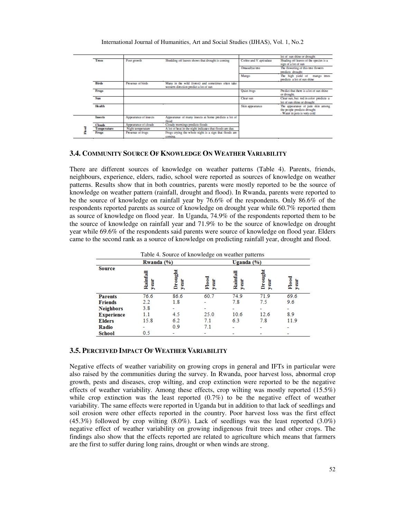|                    |                       |                                                                                              |                         | lot of sun shine or drought                                                                      |
|--------------------|-----------------------|----------------------------------------------------------------------------------------------|-------------------------|--------------------------------------------------------------------------------------------------|
| <b>Trees</b>       | Poor growth           | Shedding off leaves shows that drought is coming                                             | Coffee and V. apiculata | Shading off leaves of the species is a<br>sign of a lot of sun                                   |
|                    |                       |                                                                                              | Omusabya tree           | The flowering of this tree flowers<br>predicts drought                                           |
|                    |                       |                                                                                              | Mango                   | The high yield of mango trees<br>predicts a lot of sun shine                                     |
| <b>Birds</b>       | Presence of birds     | Many in the wild (forest) and sometimes often take<br>western direction predict a lot of sun |                         |                                                                                                  |
| Frogs              |                       |                                                                                              | Quiet frogs             | Predict that there is a lot of sun shine<br>or drought.                                          |
| <b>Sun</b>         |                       |                                                                                              | Clear sun               | Clear sun, but red in color predicts a<br>lot of sun shine or drought.                           |
| <b>Health</b>      |                       |                                                                                              | Skin appearance         | The appearance of pale skin among<br>the people predicts drought<br>- Water in pots is very cold |
| <b>Insects</b>     | Appearance of insects | Appearance of many insects at home predicts a lot of<br>flood                                |                         |                                                                                                  |
| <b>Clouds</b>      | Appearance of clouds  | Cloudy mornings predicts floods                                                              |                         |                                                                                                  |
| <b>Temperature</b> | Night temperature     | A lot of heat in the night indicates that floods are due.                                    |                         |                                                                                                  |
| Frogs              | Presence of frogs     | Froes crying the whole night is a sign that floods are<br>coming.                            |                         |                                                                                                  |

#### **3.4. COMMUNITY SOURCE OF KNOWLEDGE ON WEATHER VARIABILITY**

There are different sources of knowledge on weather patterns (Table 4). Parents, friends, neighbours, experience, elders, radio, school were reported as sources of knowledge on weather patterns. Results show that in both countries, parents were mostly reported to be the source of knowledge on weather pattern (rainfall, drought and flood). In Rwanda, parents were reported to be the source of knowledge on rainfall year by 76.6% of the respondents. Only 86.6% of the respondents reported parents as source of knowledge on drought year while 60.7% reported them as source of knowledge on flood year. In Uganda, 74.9% of the respondents reported them to be the source of knowledge on rainfall year and 71.9% to be the source of knowledge on drought year while 69.6% of the respondents said parents were source of knowledge on flood year. Elders came to the second rank as a source of knowledge on predicting rainfall year, drought and flood.

|                   |                 | Table 4. Source of knowledge on weather patterns |                          |                   |                |                  |
|-------------------|-----------------|--------------------------------------------------|--------------------------|-------------------|----------------|------------------|
|                   | Rwanda (%)      |                                                  |                          | Uganda (%)        |                |                  |
| <b>Source</b>     | Rainfal<br>year | Droug<br>year                                    | $_{\rm{F1ood}}$<br>year. | Rainfa<br>İ<br>Þ. | Drough<br>year | Flood<br>ä<br>Þ. |
| <b>Parents</b>    | 76.6            | 86.6                                             | 60.7                     | 74.9              | 71.9           | 69.6             |
| <b>Friends</b>    | 2.2             | 1.8                                              |                          | 7.8               | 7.5            | 9.6              |
| <b>Neighbors</b>  | 3.8             |                                                  |                          |                   |                |                  |
| <b>Experience</b> | 1.1             | 4.5                                              | 25.0                     | 10.6              | 12.6           | 8.9              |
| <b>Elders</b>     | 15.8            | 6.2                                              | 7.1                      | 6.3               | 7.8            | 11.9             |
| Radio             |                 | 0.9                                              | 7.1                      |                   |                |                  |
| School            | 0.5             |                                                  |                          |                   |                |                  |

# **3.5. PERCEIVED IMPACT OF WEATHER VARIABILITY**

Negative effects of weather variability on growing crops in general and IFTs in particular were also raised by the communities during the survey. In Rwanda, poor harvest loss, abnormal crop growth, pests and diseases, crop wilting, and crop extinction were reported to be the negative effects of weather variability. Among these effects, crop wilting was mostly reported  $(15.5\%)$ while crop extinction was the least reported  $(0.7%)$  to be the negative effect of weather variability. The same effects were reported in Uganda but in addition to that lack of seedlings and soil erosion were other effects reported in the country. Poor harvest loss was the first effect (45.3%) followed by crop wilting (8.0%). Lack of seedlings was the least reported (3.0%) negative effect of weather variability on growing indigenous fruit trees and other crops. The findings also show that the effects reported are related to agriculture which means that farmers are the first to suffer during long rains, drought or when winds are strong.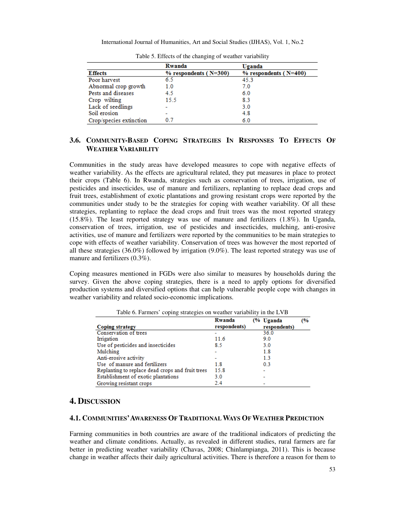|                         | Rwanda                      | Uganda                      |
|-------------------------|-----------------------------|-----------------------------|
| <b>Effects</b>          | $%$ respondents ( $N=300$ ) | $%$ respondents ( $N=400$ ) |
| Poor harvest            | 6.5                         | 45.3                        |
| Abnormal crop growth    | 1.0                         | 7.0                         |
| Pests and diseases      | 4.5                         | 6.0                         |
| Crop wilting            | 15.5                        | 8.3                         |
| Lack of seedlings       |                             | 3.0                         |
| Soil erosion            |                             | 4.8                         |
| Crop/species extinction | 07                          | 6.0                         |

Table 5. Effects of the changing of weather variability

# **3.6. COMMUNITY-BASED COPING STRATEGIES IN RESPONSES TO EFFECTS OF WEATHER VARIABILITY**

Communities in the study areas have developed measures to cope with negative effects of weather variability. As the effects are agricultural related, they put measures in place to protect their crops (Table 6). In Rwanda, strategies such as conservation of trees, irrigation, use of pesticides and insecticides, use of manure and fertilizers, replanting to replace dead crops and fruit trees, establishment of exotic plantations and growing resistant crops were reported by the communities under study to be the strategies for coping with weather variability. Of all these strategies, replanting to replace the dead crops and fruit trees was the most reported strategy (15.8%). The least reported strategy was use of manure and fertilizers (1.8%). In Uganda, conservation of trees, irrigation, use of pesticides and insecticides, mulching, anti-erosive activities, use of manure and fertilizers were reported by the communities to be main strategies to cope with effects of weather variability. Conservation of trees was however the most reported of all these strategies (36.0%) followed by irrigation (9.0%). The least reported strategy was use of manure and fertilizers (0.3%).

Coping measures mentioned in FGDs were also similar to measures by households during the survey. Given the above coping strategies, there is a need to apply options for diversified production systems and diversified options that can help vulnerable people cope with changes in weather variability and related socio-economic implications.

|                                                  | Rwanda       | (% Uganda    | (%) |
|--------------------------------------------------|--------------|--------------|-----|
| <b>Coping strategy</b>                           | respondents) | respondents) |     |
| Conservation of trees                            |              | 36.0         |     |
| Irrigation                                       | 11.6         | 9.0          |     |
| Use of pesticides and insecticides               | 8.5          | 3.0          |     |
| Mulching                                         |              | 1.8          |     |
| Anti-erosive activity                            |              | 1.3          |     |
| Use of manure and fertilizers                    | 1.8          | 0.3          |     |
| Replanting to replace dead crops and fruit trees | 15.8         |              |     |
| Establishment of exotic plantations              | 3.0          |              |     |
| Growing resistant crops                          | 2.4          |              |     |

Table 6. Farmers' coping strategies on weather variability in the LVB

# **4. DISCUSSION**

# **4.1. COMMUNITIES'AWARENESS OF TRADITIONAL WAYS OF WEATHER PREDICTION**

Farming communities in both countries are aware of the traditional indicators of predicting the weather and climate conditions. Actually, as revealed in different studies, rural farmers are far better in predicting weather variability (Chavas, 2008; Chinlampianga, 2011). This is because change in weather affects their daily agricultural activities. There is therefore a reason for them to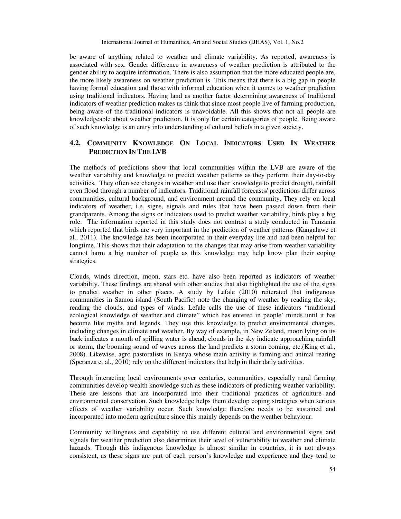be aware of anything related to weather and climate variability. As reported, awareness is associated with sex. Gender difference in awareness of weather prediction is attributed to the gender ability to acquire information. There is also assumption that the more educated people are, the more likely awareness on weather prediction is. This means that there is a big gap in people having formal education and those with informal education when it comes to weather prediction using traditional indicators. Having land as another factor determining awareness of traditional indicators of weather prediction makes us think that since most people live of farming production, being aware of the traditional indicators is unavoidable. All this shows that not all people are knowledgeable about weather prediction. It is only for certain categories of people. Being aware of such knowledge is an entry into understanding of cultural beliefs in a given society.

# **4.2. COMMUNITY KNOWLEDGE ON LOCAL INDICATORS USED IN WEATHER PREDICTION IN THE LVB**

The methods of predictions show that local communities within the LVB are aware of the weather variability and knowledge to predict weather patterns as they perform their day-to-day activities. They often see changes in weather and use their knowledge to predict drought, rainfall even flood through a number of indicators. Traditional rainfall forecasts/ predictions differ across communities, cultural background, and environment around the community. They rely on local indicators of weather, i.e. signs, signals and rules that have been passed down from their grandparents. Among the signs or indicators used to predict weather variability, birds play a big role. The information reported in this study does not contrast a study conducted in Tanzania which reported that birds are very important in the prediction of weather patterns (Kangalawe et al., 2011). The knowledge has been incorporated in their everyday life and had been helpful for longtime. This shows that their adaptation to the changes that may arise from weather variability cannot harm a big number of people as this knowledge may help know plan their coping strategies.

Clouds, winds direction, moon, stars etc. have also been reported as indicators of weather variability. These findings are shared with other studies that also highlighted the use of the signs to predict weather in other places. A study by Lefale (2010) reiterated that indigenous communities in Samoa island (South Pacific) note the changing of weather by reading the sky, reading the clouds, and types of winds. Lefale calls the use of these indicators "traditional ecological knowledge of weather and climate" which has entered in people' minds until it has become like myths and legends. They use this knowledge to predict environmental changes, including changes in climate and weather. By way of example, in New Zeland, moon lying on its back indicates a month of spilling water is ahead, clouds in the sky indicate approaching rainfall or storm, the booming sound of waves across the land predicts a storm coming, etc.(King et al., 2008). Likewise, agro pastoralists in Kenya whose main activity is farming and animal rearing (Speranza et al., 2010) rely on the different indicators that help in their daily activities.

Through interacting local environments over centuries, communities, especially rural farming communities develop wealth knowledge such as these indicators of predicting weather variability. These are lessons that are incorporated into their traditional practices of agriculture and environmental conservation. Such knowledge helps them develop coping strategies when serious effects of weather variability occur. Such knowledge therefore needs to be sustained and incorporated into modern agriculture since this mainly depends on the weather behaviour.

Community willingness and capability to use different cultural and environmental signs and signals for weather prediction also determines their level of vulnerability to weather and climate hazards. Though this indigenous knowledge is almost similar in countries, it is not always consistent, as these signs are part of each person's knowledge and experience and they tend to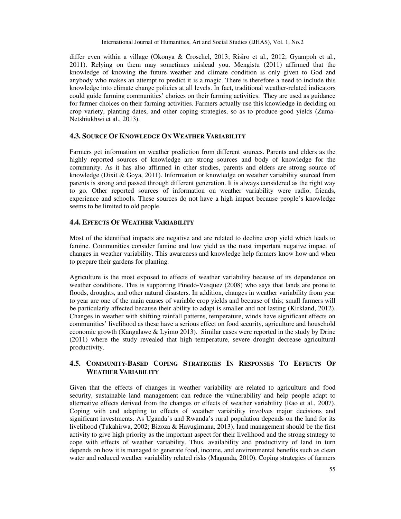differ even within a village (Okonya & Croschel, 2013; Risiro et al., 2012; Gyampoh et al., 2011). Relying on them may sometimes mislead you. Mengistu (2011) affirmed that the knowledge of knowing the future weather and climate condition is only given to God and anybody who makes an attempt to predict it is a magic. There is therefore a need to include this knowledge into climate change policies at all levels. In fact, traditional weather-related indicators could guide farming communities' choices on their farming activities. They are used as guidance for farmer choices on their farming activities. Farmers actually use this knowledge in deciding on crop variety, planting dates, and other coping strategies, so as to produce good yields (Zuma-Netshiukhwi et al., 2013).

# **4.3. SOURCE OF KNOWLEDGE ON WEATHER VARIABILITY**

Farmers get information on weather prediction from different sources. Parents and elders as the highly reported sources of knowledge are strong sources and body of knowledge for the community. As it has also affirmed in other studies, parents and elders are strong source of knowledge (Dixit & Goya, 2011). Information or knowledge on weather variability sourced from parents is strong and passed through different generation. It is always considered as the right way to go. Other reported sources of information on weather variability were radio, friends, experience and schools. These sources do not have a high impact because people's knowledge seems to be limited to old people.

# **4.4. EFFECTS OF WEATHER VARIABILITY**

Most of the identified impacts are negative and are related to decline crop yield which leads to famine. Communities consider famine and low yield as the most important negative impact of changes in weather variability. This awareness and knowledge help farmers know how and when to prepare their gardens for planting.

Agriculture is the most exposed to effects of weather variability because of its dependence on weather conditions. This is supporting Pinedo-Vasquez (2008) who says that lands are prone to floods, droughts, and other natural disasters. In addition, changes in weather variability from year to year are one of the main causes of variable crop yields and because of this; small farmers will be particularly affected because their ability to adapt is smaller and not lasting (Kirkland, 2012). Changes in weather with shifting rainfall patterns, temperature, winds have significant effects on communities' livelihood as these have a serious effect on food security, agriculture and household economic growth (Kangalawe & Lyimo 2013). Similar cases were reported in the study by Drine (2011) where the study revealed that high temperature, severe drought decrease agricultural productivity.

# **4.5. COMMUNITY-BASED COPING STRATEGIES IN RESPONSES TO EFFECTS OF WEATHER VARIABILITY**

Given that the effects of changes in weather variability are related to agriculture and food security, sustainable land management can reduce the vulnerability and help people adapt to alternative effects derived from the changes or effects of weather variability (Rao et al., 2007). Coping with and adapting to effects of weather variability involves major decisions and significant investments. As Uganda's and Rwanda's rural population depends on the land for its livelihood (Tukahirwa, 2002; Bizoza & Havugimana, 2013), land management should be the first activity to give high priority as the important aspect for their livelihood and the strong strategy to cope with effects of weather variability. Thus, availability and productivity of land in turn depends on how it is managed to generate food, income, and environmental benefits such as clean water and reduced weather variability related risks (Magunda, 2010). Coping strategies of farmers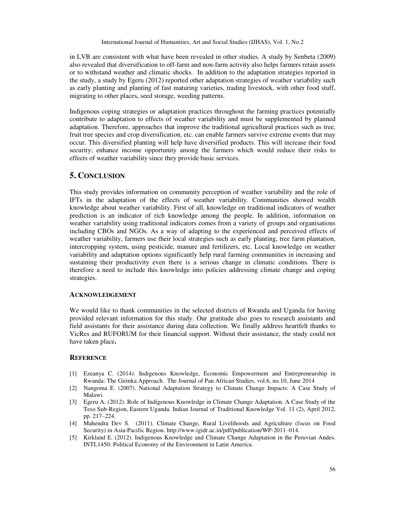in LVB are consistent with what have been revealed in other studies. A study by Senbeta (2009) also revealed that diversification to off-farm and non-farm activity also helps farmers retain assets or to withstand weather and climatic shocks. In addition to the adaptation strategies reported in the study, a study by Egeru (2012) reported other adaptation strategies of weather variability such as early planting and planting of fast maturing varieties, trading livestock, with other food stuff, migrating to other places, seed storage, weeding patterns.

Indigenous coping strategies or adaptation practices throughout the farming practices potentially contribute to adaptation to effects of weather variability and must be supplemented by planned adaptation. Therefore, approaches that improve the traditional agricultural practices such as tree, fruit tree species and crop diversification, etc. can enable farmers survive extreme events that may occur. This diversified planting will help have diversified products. This will increase their food security; enhance income opportunity among the farmers which would reduce their risks to effects of weather variability since they provide basic services.

# **5. CONCLUSION**

This study provides information on community perception of weather variability and the role of IFTs in the adaptation of the effects of weather variability. Communities showed wealth knowledge about weather variability. First of all, knowledge on traditional indicators of weather prediction is an indicator of rich knowledge among the people. In addition, information on weather variability using traditional indicators comes from a variety of groups and organisations including CBOs and NGOs. As a way of adapting to the experienced and perceived effects of weather variability, farmers use their local strategies such as early planting, tree farm plantation, intercropping system, using pesticide, manure and fertilizers, etc. Local knowledge on weather variability and adaptation options significantly help rural farming communities in increasing and sustaining their productivity even there is a serious change in climatic conditions. There is therefore a need to include this knowledge into policies addressing climate change and coping strategies.

#### **ACKNOWLEDGEMENT**

We would like to thank communities in the selected districts of Rwanda and Uganda for having provided relevant information for this study. Our gratitude also goes to research assistants and field assistants for their assistance during data collection. We finally address heartfelt thanks to VicRes and RUFORUM for their financial support. Without their assistance, the study could not have taken place**.** 

#### **REFERENCE**

- [1] Ezeanya C. (2014). Indigenous Knowledge, Economic Empowerment and Entrepreneurship in Rwanda: The Girinka Approach. The Journal of Pan African Studies, vol.6, no.10, June 2014
- [2] Nangoma E. (2007). National Adaptation Strategy to Climate Change Impacts: A Case Study of Malawi.
- [3] Egeru A. (2012). Role of Indigenous Knowledge in Climate Change Adaptation. A Case Study of the Teso Sub-Region, Eastern Uganda. Indian Journal of Traditional Knowledge Vol. 11 (2), April 2012, pp. 217‒224.
- [4] Mahendra Dev S. (2011). Climate Change, Rural Livelihoods and Agriculture (focus on Food Security) in Asia-Pacific Region. http://www.igidr.ac.in/pdf/publication/WP-2011–014.
- [5] Kirkland E. (2012). Indigenous Knowledge and Climate Change Adaptation in the Peruvian Andes. INTL1450: Political Economy of the Environment in Latin America.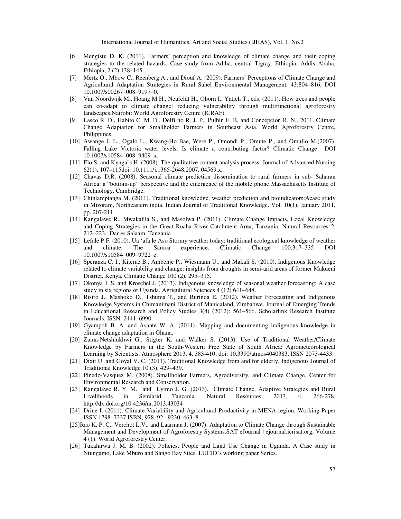- [6] Mengistu D. K. (2011). Farmers' perception and knowledge of climate change and their coping strategies to the related hazards: Case study from Adiha, central Tigray, Ethiopia. Addis Ababa, Ethiopia, 2(2) 138–145.
- [7] Mertz O., Mbow C., Reenberg A., and Diouf A. (2009). Farmers' Perceptions of Climate Change and Agricultural Adaptation Strategies in Rural Sahel Environmental Management, 43:804–816, DOI 10.1007/s00267‒008‒9197‒0.
- [8] Van Noordwijk M., Hoang M.H., Neufeldt H., Öborn I., Yatich T., eds. (2011). How trees and people can co-adapt to climate change: reducing vulnerability through multifunctional agroforestry landscapes.Nairobi: World Agroforestry Centre (ICRAF).
- [9] Lasco R. D., Habito C. M. D., Delfi no R. J. P., Pulhin F. B, and Concepcion R. N.. 2011. Climate Change Adaptation for Smallholder Farmers in Southeast Asia. World Agroforestry Centre, Philippines.
- [10] Awange J. L., Ogalo L., Kwang-Ho Bae, Were P., Omondi P., Omute P., and Omullo M.(2007). Falling Lake Victoria water levels: Is climate a contributing factor? Climatic Change DOI 10.1007/s10584‒008‒9409‒x.
- [11] Elo S. and Kynga¨s H. (2008). The qualitative content analysis process. Journal of Advanced Nursing 62(1), 107–115doi: 10.1111/j.1365-2648.2007. 04569.x.
- [12] Chavas D.R. (2008). Seasonal climate prediction dissemination to rural farmers in sub- Saharan Africa: a "bottom-up" perspective and the emergence of the mobile phone Massachusetts Institute of Technology, Cambridge.
- [13] Chinlampianga M. (2011). Traditional knowledge, weather prediction and bioindicators:Acase study in Mizoram, Northeastern india. Indian Journal of Traditional Knowledge. Vol. 10(1), January 2011, pp. 207-211
- [14] Kangalawe R., Mwakalila S., and Masolwa P. (2011). Climate Change Impacts, Local Knowledge and Coping Strategies in the Great Ruaha River Catchment Area, Tanzania. Natural Resources 2, 212‒223. Dar es Salaam, Tanzania.
- [15] Lefale P.F. (2010). Ua 'afa le Aso Stormy weather today: traditional ecological knowledge of weather and climate. The Samoa experience. Climatic Change 100:317–335 DOI 10.1007/s10584‒009‒9722‒z.
- [16] Speranza C. I., Kiteme B., Ambenje P., Wiesmann U., and Makali S. (2010). Indigenous Knowledge related to climate variability and change: insights from droughts in semi-arid areas of former Makueni District, Kenya. Climatic Change 100 (2), 295–315.
- [17] Okonya J. S. and Kroschel J. (2013). Indigenous knowledge of seasonal weather forecasting: A case study in six regions of Uganda. Agricultural Sciences 4 (12) 641–648.
- [18] Risiro J., Mashoko D., Tshuma T., and Rurinda E. (2012). Weather Forecasting and Indigenous Knowledge Systems in Chimanimani District of Manicaland, Zimbabwe. Journal of Emerging Trends in Educational Research and Policy Studies 3(4) (2012): 561–566. Scholarlink Research Institute Journals, ISSN: 2141‒6990.
- [19] Gyampoh B. A. and Asante W. A. (2011). Mapping and documenting indigenous knowledge in climate change adaptation in Ghana.
- [20] Zuma-Netshiukhwi G., Stigter K. and Walker S. (2013). Use of Traditional Weather/Climate Knowledge by Farmers in the South-Western Free State of South Africa: Agrometeorological Learning by Scientists. Atmosphere 2013, 4, 383-410; doi: 10.3390/atmos4040383. ISSN 2073-4433.
- [21] Dixit U. and Goyal V. C. (2011). Traditional Knowledge from and for elderly. Indigenous Journal of Traditional Knowledge 10 (3), 429-439.
- [22] Pinedo-Vasquez M. (2008). Smallholder Farmers, Agrodiversity, and Climate Change. Center for Environmental Research and Conservation.
- [23] Kangalawe R. Y. M. and Lyimo J. G. (2013). Climate Change, Adaptive Strategies and Rural Livelihoods in Semiarid Tanzania. Natural Resources, 2013, 4, 266-278. http://dx.doi.org/10.4236/nr.2013.43034
- [24] Drine I. (2011). Climate Variability and Agricultural Productivity in MENA region. Working Paper ISSN 1798‒7237 ISBN, 978‒92‒ 9230‒463‒8.
- [25]Rao K. P. C., Verchot L.V., and Laarman J. (2007). Adaptation to Climate Change through Sustainable Management and Development of Agroforestry Systems.SAT eJournal | ejournal.icrisat.org, Volume 4 (1). World Agroforestry Center.
- [26] Tukahirwa J. M. B. (2002). Policies, People and Land Use Change in Uganda. A Case study in Ntungamo, Lake Mburo and Sango Bay Sites. LUCID's working paper Series.